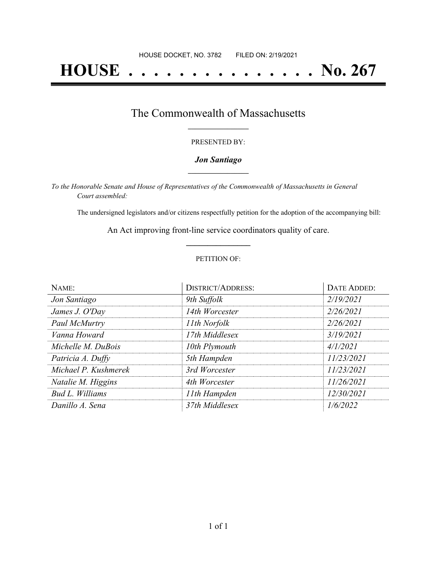# **HOUSE . . . . . . . . . . . . . . . No. 267**

### The Commonwealth of Massachusetts **\_\_\_\_\_\_\_\_\_\_\_\_\_\_\_\_\_**

#### PRESENTED BY:

#### *Jon Santiago* **\_\_\_\_\_\_\_\_\_\_\_\_\_\_\_\_\_**

*To the Honorable Senate and House of Representatives of the Commonwealth of Massachusetts in General Court assembled:*

The undersigned legislators and/or citizens respectfully petition for the adoption of the accompanying bill:

An Act improving front-line service coordinators quality of care. **\_\_\_\_\_\_\_\_\_\_\_\_\_\_\_**

#### PETITION OF:

| NAME:                | <b>DISTRICT/ADDRESS:</b> | <b>DATE ADDED:</b> |
|----------------------|--------------------------|--------------------|
| Jon Santiago         | 9th Suffolk              | 2/19/2021          |
| James J. O'Day       | 14th Worcester           | 2/26/2021          |
| Paul McMurtry        | 11th Norfolk             | 2/26/2021          |
| Vanna Howard         | 17th Middlesex           | 3/19/2021          |
| Michelle M. DuBois   | 10th Plymouth            | 4/1/2021           |
| Patricia A. Duffy    | 5th Hampden              | 11/23/2021         |
| Michael P. Kushmerek | 3rd Worcester            | 11/23/2021         |
| Natalie M. Higgins   | 4th Worcester            | 11/26/2021         |
| Bud L. Williams      | 11th Hampden             | 12/30/2021         |
| Danillo A. Sena      | 37th Middlesex           | 1/6/2022           |